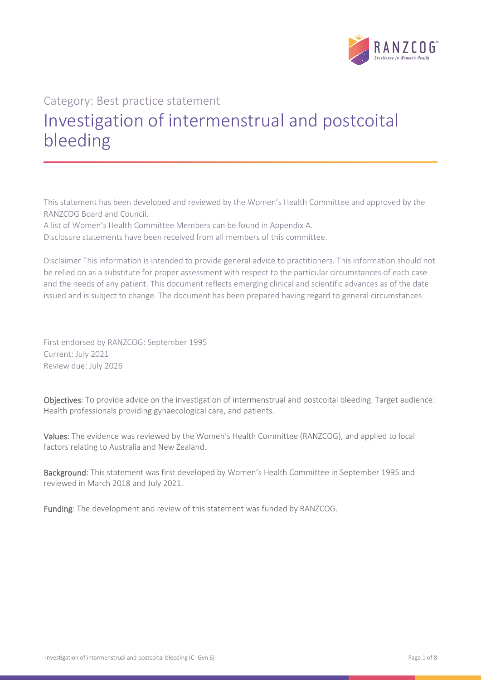

# Category: Best practice statement Investigation of intermenstrual and postcoital bleeding

This statement has been developed and reviewed by the Women's Health Committee and approved by the RANZCOG Board and Council.

A list of Women's Health Committee Members can be found in Appendix A.

Disclosure statements have been received from all members of this committee.

Disclaimer This information is intended to provide general advice to practitioners. This information should not be relied on as a substitute for proper assessment with respect to the particular circumstances of each case and the needs of any patient. This document reflects emerging clinical and scientific advances as of the date issued and is subject to change. The document has been prepared having regard to general circumstances.

First endorsed by RANZCOG: September 1995 Current: July 2021 Review due: July 2026

Objectives: To provide advice on the investigation of intermenstrual and postcoital bleeding. Target audience: Health professionals providing gynaecological care, and patients.

Values: The evidence was reviewed by the Women's Health Committee (RANZCOG), and applied to local factors relating to Australia and New Zealand.

Background: This statement was first developed by Women's Health Committee in September 1995 and reviewed in March 2018 and July 2021.

Funding: The development and review of this statement was funded by RANZCOG.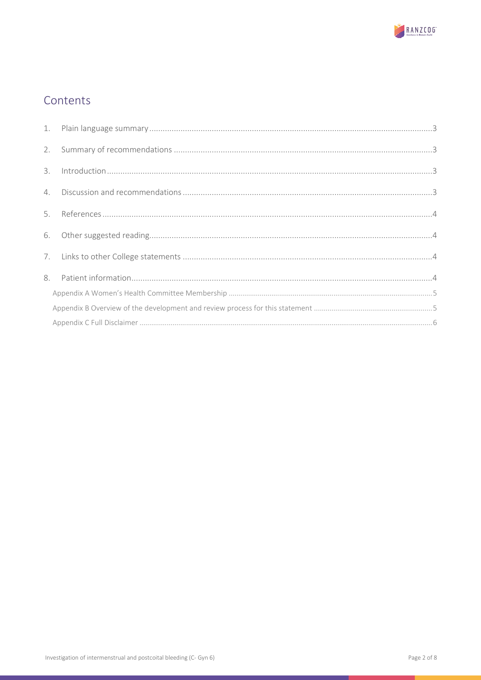

# Contents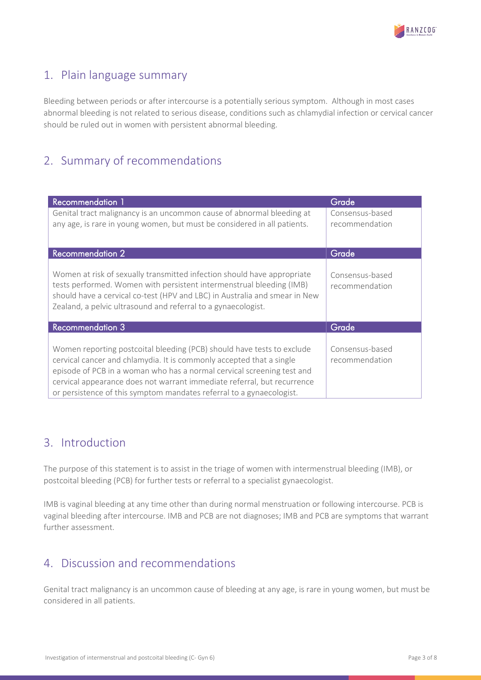

# <span id="page-2-0"></span>1. Plain language summary

Bleeding between periods or after intercourse is a potentially serious symptom. Although in most cases abnormal bleeding is not related to serious disease, conditions such as chlamydial infection or cervical cancer should be ruled out in women with persistent abnormal bleeding.

# <span id="page-2-1"></span>2. Summary of recommendations

| <b>Recommendation 1</b>                                                                                                                                                                                                                                                                                                                                                     | Grade                             |
|-----------------------------------------------------------------------------------------------------------------------------------------------------------------------------------------------------------------------------------------------------------------------------------------------------------------------------------------------------------------------------|-----------------------------------|
| Genital tract malignancy is an uncommon cause of abnormal bleeding at<br>any age, is rare in young women, but must be considered in all patients.                                                                                                                                                                                                                           | Consensus-based<br>recommendation |
| <b>Recommendation 2</b>                                                                                                                                                                                                                                                                                                                                                     | Grade <sup>'</sup>                |
| Women at risk of sexually transmitted infection should have appropriate<br>tests performed. Women with persistent intermenstrual bleeding (IMB)<br>should have a cervical co-test (HPV and LBC) in Australia and smear in New<br>Zealand, a pelvic ultrasound and referral to a gynaecologist.                                                                              | Consensus-based<br>recommendation |
| <b>Recommendation 3</b>                                                                                                                                                                                                                                                                                                                                                     | Grade                             |
| Women reporting postcoital bleeding (PCB) should have tests to exclude<br>cervical cancer and chlamydia. It is commonly accepted that a single<br>episode of PCB in a woman who has a normal cervical screening test and<br>cervical appearance does not warrant immediate referral, but recurrence<br>or persistence of this symptom mandates referral to a gynaecologist. | Consensus-based<br>recommendation |

# <span id="page-2-2"></span>3. Introduction

The purpose of this statement is to assist in the triage of women with intermenstrual bleeding (IMB), or postcoital bleeding (PCB) for further tests or referral to a specialist gynaecologist.

IMB is vaginal bleeding at any time other than during normal menstruation or following intercourse. PCB is vaginal bleeding after intercourse. IMB and PCB are not diagnoses; IMB and PCB are symptoms that warrant further assessment.

# <span id="page-2-3"></span>4. Discussion and recommendations

Genital tract malignancy is an uncommon cause of bleeding at any age, is rare in young women, but must be considered in all patients.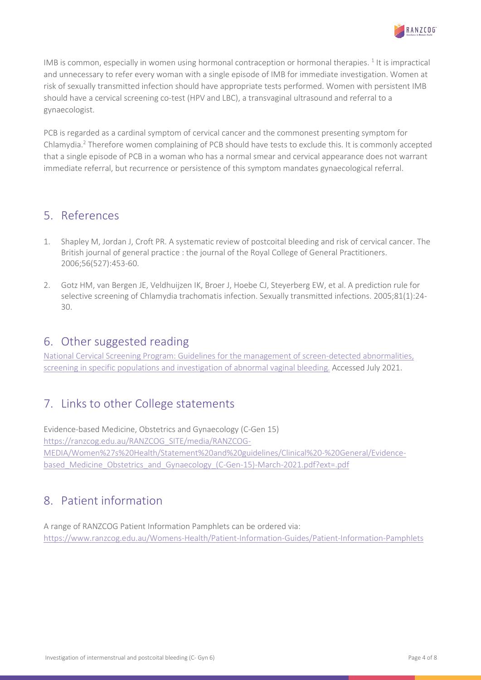

IMB is common, especially in women using hormonal contraception or hormonal therapies.<sup>1</sup> It is impractical and unnecessary to refer every woman with a single episode of IMB for immediate investigation. Women at risk of sexually transmitted infection should have appropriate tests performed. Women with persistent IMB should have a cervical screening co-test (HPV and LBC), a transvaginal ultrasound and referral to a gynaecologist.

PCB is regarded as a cardinal symptom of cervical cancer and the commonest presenting symptom for Chlamydia.2 Therefore women complaining of PCB should have tests to exclude this. It is commonly accepted that a single episode of PCB in a woman who has a normal smear and cervical appearance does not warrant immediate referral, but recurrence or persistence of this symptom mandates gynaecological referral.

# <span id="page-3-0"></span>5. References

- 1. Shapley M, Jordan J, Croft PR. A systematic review of postcoital bleeding and risk of cervical cancer. The British journal of general practice : the journal of the Royal College of General Practitioners. 2006;56(527):453-60.
- 2. Gotz HM, van Bergen JE, Veldhuijzen IK, Broer J, Hoebe CJ, Steyerberg EW, et al. A prediction rule for selective screening of Chlamydia trachomatis infection. Sexually transmitted infections. 2005;81(1):24- 30.

# <span id="page-3-1"></span>6. Other suggested reading

National [Cervical Screening Program: Guidelines for the management of screen-detected abnormalities,](https://wiki.cancer.org.au/australia/Guidelines:Cervical_cancer/Screening)  [screening in specific populations and investigation of abnormal vaginal bleeding.](https://wiki.cancer.org.au/australia/Guidelines:Cervical_cancer/Screening) Accessed July 2021.

# <span id="page-3-2"></span>7. Links to other College statements

Evidence-based Medicine, Obstetrics and Gynaecology (C-Gen 15) [https://ranzcog.edu.au/RANZCOG\\_SITE/media/RANZCOG-](https://ranzcog.edu.au/RANZCOG_SITE/media/RANZCOG-MEDIA/Women%27s%20Health/Statement%20and%20guidelines/Clinical%20-%20General/Evidence-based_Medicine_Obstetrics_and_Gynaecology_(C-Gen-15)-March-2021.pdf?ext=.pdf)[MEDIA/Women%27s%20Health/Statement%20and%20guidelines/Clinical%20-%20General/Evidence](https://ranzcog.edu.au/RANZCOG_SITE/media/RANZCOG-MEDIA/Women%27s%20Health/Statement%20and%20guidelines/Clinical%20-%20General/Evidence-based_Medicine_Obstetrics_and_Gynaecology_(C-Gen-15)-March-2021.pdf?ext=.pdf)[based\\_Medicine\\_Obstetrics\\_and\\_Gynaecology\\_\(C-Gen-15\)-March-2021.pdf?ext=.pdf](https://ranzcog.edu.au/RANZCOG_SITE/media/RANZCOG-MEDIA/Women%27s%20Health/Statement%20and%20guidelines/Clinical%20-%20General/Evidence-based_Medicine_Obstetrics_and_Gynaecology_(C-Gen-15)-March-2021.pdf?ext=.pdf)

# <span id="page-3-3"></span>8. Patient information

A range of RANZCOG Patient Information Pamphlets can be ordered via: <https://www.ranzcog.edu.au/Womens-Health/Patient-Information-Guides/Patient-Information-Pamphlets>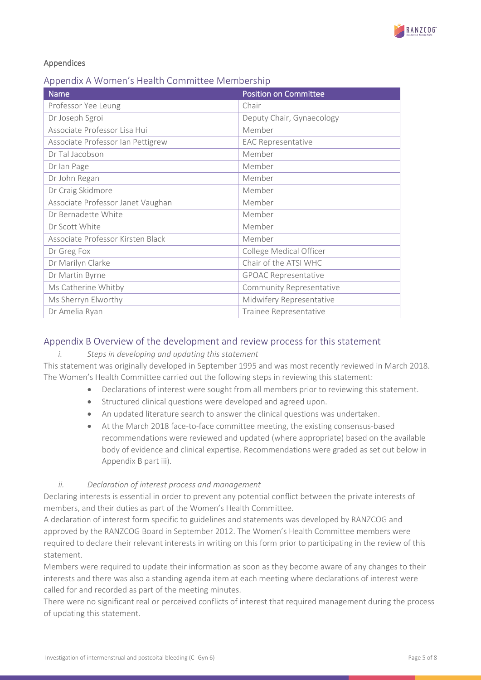

### Appendices

### <span id="page-4-0"></span>Appendix A Women's Health Committee Membership

| <b>Name</b>                       | <b>Position on Committee</b> |
|-----------------------------------|------------------------------|
| Professor Yee Leung               | Chair                        |
| Dr Joseph Sgroi                   | Deputy Chair, Gynaecology    |
| Associate Professor Lisa Hui      | Member                       |
| Associate Professor Ian Pettigrew | <b>EAC Representative</b>    |
| Dr Tal Jacobson                   | Member                       |
| Dr Ian Page                       | Member                       |
| Dr John Regan                     | Member                       |
| Dr Craig Skidmore                 | Member                       |
| Associate Professor Janet Vaughan | Member                       |
| Dr Bernadette White               | Member                       |
| Dr Scott White                    | Member                       |
| Associate Professor Kirsten Black | Member                       |
| Dr Greg Fox                       | College Medical Officer      |
| Dr Marilyn Clarke                 | Chair of the ATSI WHC        |
| Dr Martin Byrne                   | <b>GPOAC Representative</b>  |
| Ms Catherine Whitby               | Community Representative     |
| Ms Sherryn Elworthy               | Midwifery Representative     |
| Dr Amelia Ryan                    | Trainee Representative       |

### <span id="page-4-1"></span>Appendix B Overview of the development and review process for this statement

### *i. Steps in developing and updating this statement*

This statement was originally developed in September 1995 and was most recently reviewed in March 2018. The Women's Health Committee carried out the following steps in reviewing this statement:

- Declarations of interest were sought from all members prior to reviewing this statement.
- Structured clinical questions were developed and agreed upon.
- An updated literature search to answer the clinical questions was undertaken.
- At the March 2018 face-to-face committee meeting, the existing consensus-based recommendations were reviewed and updated (where appropriate) based on the available body of evidence and clinical expertise. Recommendations were graded as set out below in Appendix B part iii).

### *ii. Declaration of interest process and management*

Declaring interests is essential in order to prevent any potential conflict between the private interests of members, and their duties as part of the Women's Health Committee.

A declaration of interest form specific to guidelines and statements was developed by RANZCOG and approved by the RANZCOG Board in September 2012. The Women's Health Committee members were required to declare their relevant interests in writing on this form prior to participating in the review of this statement.

Members were required to update their information as soon as they become aware of any changes to their interests and there was also a standing agenda item at each meeting where declarations of interest were called for and recorded as part of the meeting minutes.

There were no significant real or perceived conflicts of interest that required management during the process of updating this statement.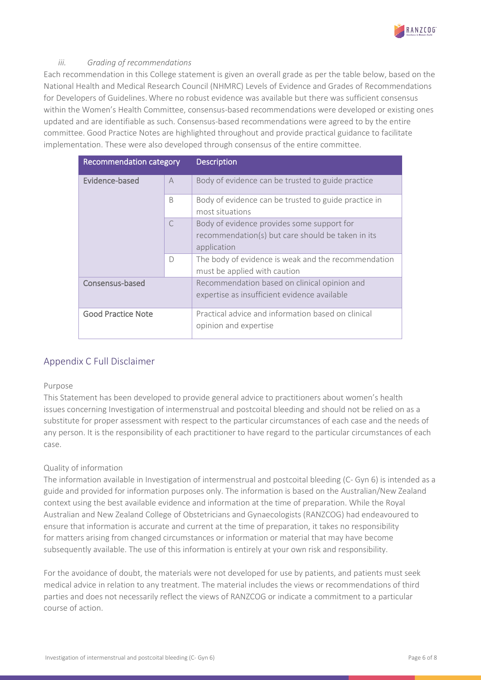

### *iii. Grading of recommendations*

Each recommendation in this College statement is given an overall grade as per the table below, based on the National Health and Medical Research Council (NHMRC) Levels of Evidence and Grades of Recommendations for Developers of Guidelines.Where no robust evidence was available but there was sufficient consensus within the Women's Health Committee, consensus-based recommendations were developed or existing ones updated and are identifiable as such. Consensus-based recommendations were agreed to by the entire committee. Good Practice Notes are highlighted throughout and provide practical guidance to facilitate implementation. These were also developed through consensus of the entire committee.

| Recommendation category   |                | <b>Description</b>                                                                                             |
|---------------------------|----------------|----------------------------------------------------------------------------------------------------------------|
| Evidence-based            | $\overline{A}$ | Body of evidence can be trusted to guide practice                                                              |
|                           | <sub>B</sub>   | Body of evidence can be trusted to guide practice in<br>most situations                                        |
|                           | $\subset$      | Body of evidence provides some support for<br>recommendation(s) but care should be taken in its<br>application |
|                           | $\Box$         | The body of evidence is weak and the recommendation<br>must be applied with caution                            |
| Consensus-based           |                | Recommendation based on clinical opinion and<br>expertise as insufficient evidence available                   |
| <b>Good Practice Note</b> |                | Practical advice and information based on clinical<br>opinion and expertise                                    |

## <span id="page-5-0"></span>Appendix C Full Disclaimer

#### Purpose

This Statement has been developed to provide general advice to practitioners about women's health issues concerning Investigation of intermenstrual and postcoital bleeding and should not be relied on as a substitute for proper assessment with respect to the particular circumstances of each case and the needs of any person. It is the responsibility of each practitioner to have regard to the particular circumstances of each case.

#### Quality of information

The information available in Investigation of intermenstrual and postcoital bleeding (C- Gyn 6) is intended as a guide and provided for information purposes only. The information is based on the Australian/New Zealand context using the best available evidence and information at the time of preparation. While the Royal Australian and New Zealand College of Obstetricians and Gynaecologists (RANZCOG) had endeavoured to ensure that information is accurate and current at the time of preparation, it takes no responsibility for matters arising from changed circumstances or information or material that may have become subsequently available. The use of this information is entirely at your own risk and responsibility.

For the avoidance of doubt, the materials were not developed for use by patients, and patients must seek medical advice in relation to any treatment. The material includes the views or recommendations of third parties and does not necessarily reflect the views of RANZCOG or indicate a commitment to a particular course of action.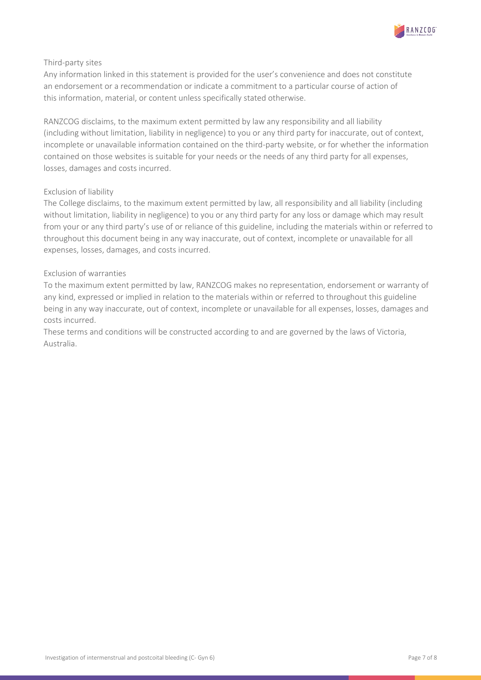

### Third-party sites

Any information linked in this statement is provided for the user's convenience and does not constitute an endorsement or a recommendation or indicate a commitment to a particular course of action of this information, material, or content unless specifically stated otherwise.

RANZCOG disclaims, to the maximum extent permitted by law any responsibility and all liability (including without limitation, liability in negligence) to you or any third party for inaccurate, out of context, incomplete or unavailable information contained on the third-party website, or for whether the information contained on those websites is suitable for your needs or the needs of any third party for all expenses, losses, damages and costs incurred.

### Exclusion of liability

The College disclaims, to the maximum extent permitted by law, all responsibility and all liability (including without limitation, liability in negligence) to you or any third party for any loss or damage which may result from your or any third party's use of or reliance of this guideline, including the materials within or referred to throughout this document being in any way inaccurate, out of context, incomplete or unavailable for all expenses, losses, damages, and costs incurred.

### Exclusion of warranties

To the maximum extent permitted by law, RANZCOG makes no representation, endorsement or warranty of any kind, expressed or implied in relation to the materials within or referred to throughout this guideline being in any way inaccurate, out of context, incomplete or unavailable for all expenses, losses, damages and costs incurred.

These terms and conditions will be constructed according to and are governed by the laws of Victoria, Australia.